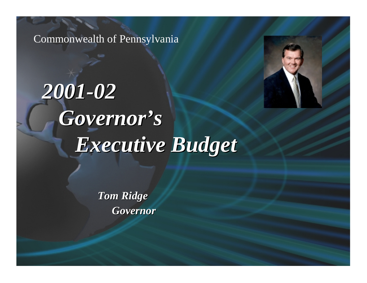Commonwealth of Pennsylvania

# *2001 -02 Governor's Governor's Executive Budget Executive Budget*

*Tom Ridge Tom Ridge Governor Governor*

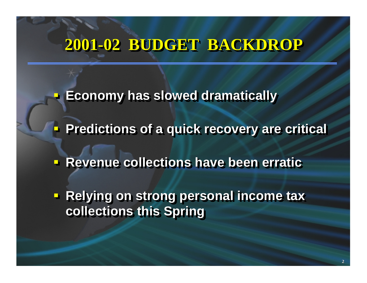## **2001 2001-02 BUDGET BACKDROP -02 BUDGET BACKDROP 02 BUDGET BACKDROP**

**Economy has slowed dramatically** 

**Predictions of a quick recovery are critical** 

**Revenue collections have been erratic** 

**Relying on strong personal income tax collections this Spring collections this Spring collections this Spring**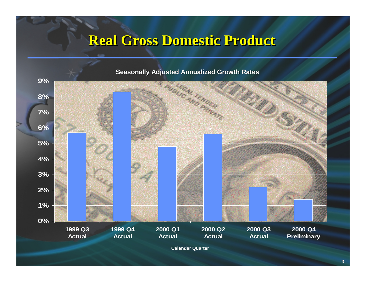### **Real Gross Domestic Product**



**Calendar Quarter**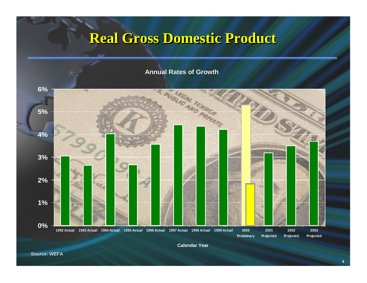### **Real Gross Domestic Product**

#### **Annual Rates of Growth**

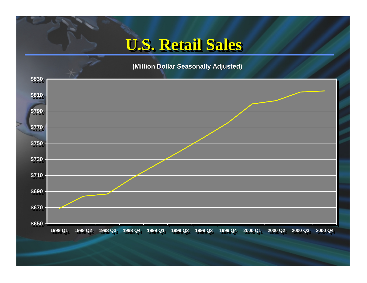### **U.S. Retail Sales U.S. Retail Sales U.S. Retail Sales**

#### **(Million Dollar Seasonally Adjusted) (Million Dollar Seasonally Adjusted)**

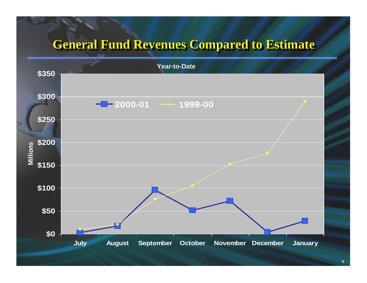### **General Fund Revenues Compared to Estimate General Fund Revenues Compared to Estimate General Fund Revenues Compared to Estimate**

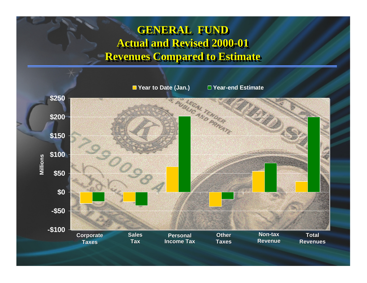#### **GENERAL FUND GENERAL FUND GENERAL FUND Actual and Revised 2000-01 Actual and Revised 2000 Actual and Revised 2000-01 Revenues Compared to Estimate Revenues Compared to Estimate Revenues Compared to Estimate**

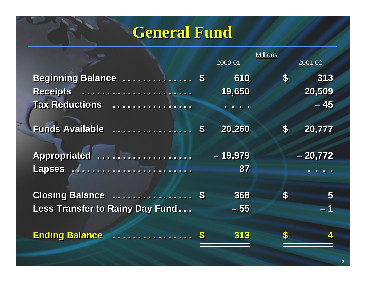## **General Fund General Fund General Fund**

|                                 |                   | 2000-01                  | <b>Millions</b>           | 2001-02                 |
|---------------------------------|-------------------|--------------------------|---------------------------|-------------------------|
| Beginning Balance  \$           |                   | 610                      | $\boldsymbol{\mathsf{s}}$ | 313                     |
| <b>Receipts</b>                 |                   | 19,650                   |                           | 20,509                  |
| Tax Reductions                  |                   | $\overline{\phantom{a}}$ |                           | $-45$                   |
| <b>Funds Available</b><br>.     | $\boldsymbol{\$}$ | 20,260                   | $\boldsymbol{s}$          | 20,777                  |
| Appropriated                    |                   | $-19,979$                |                           | $-20,772$               |
| Lapses                          |                   | 87                       |                           |                         |
| Closing Balance  \$             |                   | 368                      | $\boldsymbol{\$}$         | $\overline{\mathbf{5}}$ |
| Less Transfer to Rainy Day Fund |                   | $-55$                    |                           | $-1$                    |
| <b>Ending Balance</b><br>.      | $\clubsuit$       | 313                      | S                         | $\blacktriangle$        |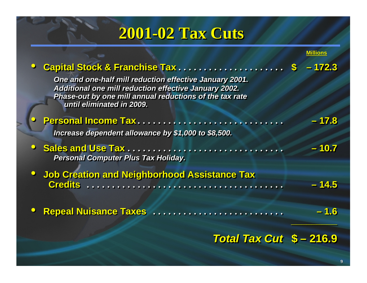### **2001-02 Tax Cuts -02 Tax Cuts 02 Tax Cuts**

| Capital Stock & Franchise Tax                                                                                                                                                                                   | $-172.3$   |  |
|-----------------------------------------------------------------------------------------------------------------------------------------------------------------------------------------------------------------|------------|--|
| One and one-half mill reduction effective January 2001.<br><b>Additional one mill reduction effective January 2002.</b><br>Phase-out by one mill annual reductions of the tax rate<br>until eliminated in 2009. |            |  |
| Personal Income Tax                                                                                                                                                                                             | $-17.8$    |  |
| Increase dependent allowance by \$1,000 to \$8,500.                                                                                                                                                             |            |  |
| Sales and Use Tax<br><b>Personal Computer Plus Tax Holiday.</b>                                                                                                                                                 | $-10.7$    |  |
| <b>Job Creation and Neighborhood Assistance Tax</b><br><b>Credits</b>                                                                                                                                           | $-14.5$    |  |
| <b>Repeal Nuisance Taxes</b>                                                                                                                                                                                    | <u>  6</u> |  |
|                                                                                                                                                                                                                 |            |  |

#### *Total Tax Cut* **\$ – 216.9** *Total Tax Cut Total Tax Cut* **\$ – 216.9**

*\_\_\_\_\_\_\_\_\_*

*\_\_\_\_\_\_\_\_\_ \_\_\_\_\_\_\_\_\_*

**Millions**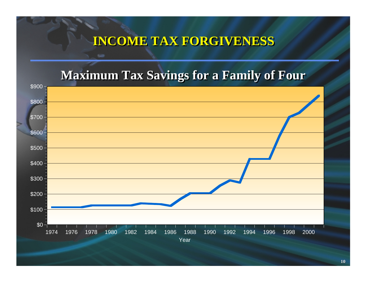### **INCOME TAX FORGIVENESS INCOME TAX FORGIVENESS**

### **Maximum Tax Savings for a Family of Four**

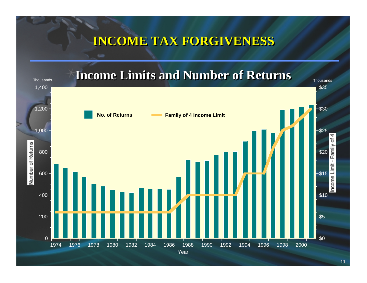### **INCOME TAX FORGIVENESS INCOME TAX FORGIVENESS**

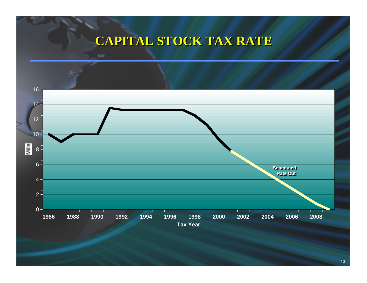### **CAPITAL STOCK TAX RATE CAPITAL STOCK TAX RATE**

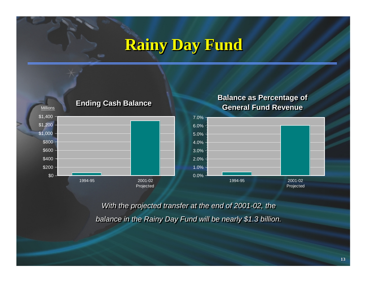### **Rainy Day Fund Rainy Day Fund Rainy Day Fund**



*With the projected transfer at the end of 2001-02, the With the projected transfer at the end of 2001 With the projected transfer at the end of 2001-02, the 02, the balance in the Rainy Day Fund will be nearly \$1.3 billion. balance in the Rainy Day Fund will be nearly \$1.3 billion. balance in the Rainy Day Fund will be nearly \$1.3 billion.*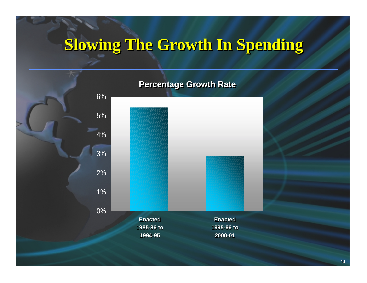## **Slowing The Growth In Spending Slowing The Growth In Spending Slowing The Growth In Spending**

#### **Percentage Growth Rate**

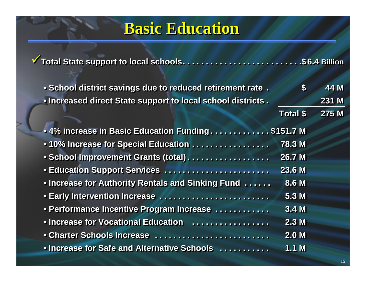### **Basic Education Basic Education Basic Education**

**Total State support to local schools. . . . . . . . . . . . . . . . . . . . . . . . . .\$ 6.4 Billion Total State support to local schools Total State support to local schools. . . . . . . . . . . . . . . . . . . . . . . . . . . . . . . . . . . . . .. . . . . . .\$ . . . . . . .\$6.4 Billion Billion**

• School district savings due to reduced retirement rate. \$ 44 M • Increased direct State support to local school districts . 231 M

| • 4% increase in Basic Education Funding\$151.7 M |                  |
|---------------------------------------------------|------------------|
| .10% Increase for Special Education               | <b>78.3 M</b>    |
| · School Improvement Grants (total).              | 26.7 M           |
| · Education Support Services                      | 23.6 M           |
| . Increase for Authority Rentals and Sinking Fund | 8.6 M            |
| • Early Intervention Increase                     | 5.3M             |
| • Performance Incentive Program Increase          | 3.4 <sub>M</sub> |
| • Increase for Vocational Education               | 2.3M             |
| • Charter Schools Increase                        | 2.0 <sub>M</sub> |
| • Increase for Safe and Alternative Schools       | 1.1 M            |

**Total \$ 275 M Total \$ Total \$275 M**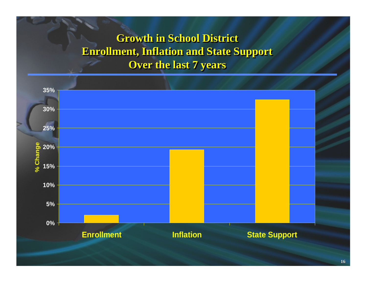### **Growth in School District Growth in School District Growth in School District Enrollment, Inflation and State Support Enrollment, Inflation and State Support Enrollment, Inflation and State Support Over the last 7 years Over the last 7 years Over the last 7 years**

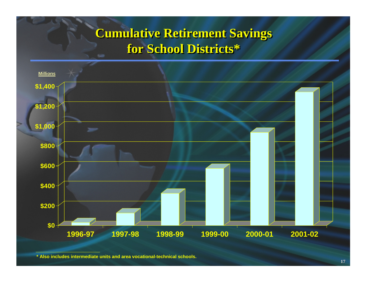### **Cumulative Retirement Savings Cumulative Retirement Savings for School Districts\* for School Districts\***



**<sup>\*</sup> Also includes intermediate units and area vocational-technical schools.**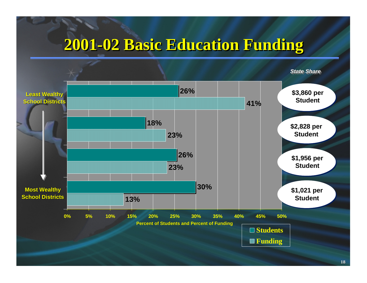### **2001-02 Basic Education Funding -02 Basic Education Funding 02 Basic Education Funding**

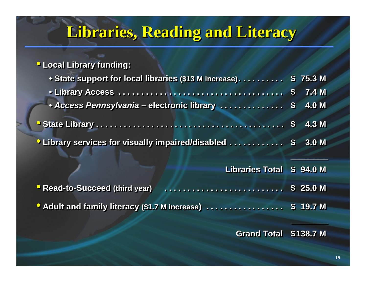## **Libraries, Reading and Literacy Libraries, Reading and Literacy Libraries, Reading and Literacy**

#### • **Local Library funding:** • **Local Library funding: Local Library funding:**

| • State support for local libraries (\$13 M increase).          | \$75.3 <sub>M</sub> |
|-----------------------------------------------------------------|---------------------|
|                                                                 |                     |
| • Access Pennsylvania - electronic library  \$                  | <b>4.0 M</b>        |
|                                                                 | 4.3 M               |
| <b>• Library services for visually impaired/disabled  \$</b>    | 3.0 <sub>M</sub>    |
| <b>Libraries Total</b>                                          | \$94.0 M            |
| <b>• Read-to-Succeed (third year)</b>                           | \$25.0 M            |
| <b>O</b> Adult and family literacy (\$1.7 M increase) \$ 19.7 M |                     |
| <b>Grand Total \$138.7 M</b>                                    |                     |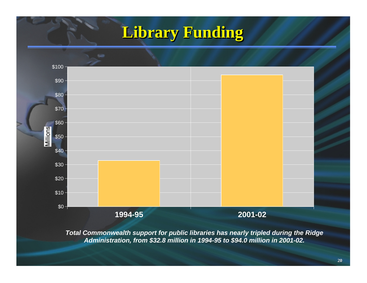### **Library Funding Library Funding Library Funding**



*Total Commonwealth support for public libraries has nearly tripled during the Ridge Administration, from \$32.8 million in 1994-95 to \$94.0 million in 2001-02.*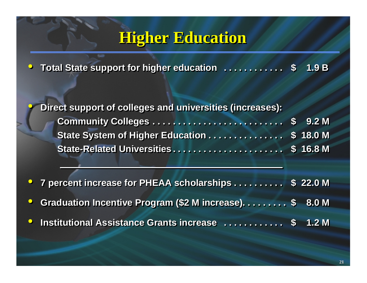### **Higher Education Higher Education Higher Education**

•C Total State support for higher education . . . . . . . . . . \$ 1.9 B  $\bigodot$ **\$ 1.9 B**

•

 $\bullet$ 

**P** Direct support of colleges and universities (increases): **Community Colleges . . . . . . . . . . . . . . . . . . . . . . . . . . \$ 9.2 M Community Colleges Community Colleges . . . . . . . . . . . . . . . . . . . . . . . . . . . . . . . . . . . . . . . . . . . . . . . . . . . .** State System of Higher Education . . . . . . . . . . . . . \$ 18.0 M **State-Related Universities . . . . . . . . . . . . . . . . . . . . . . \$ 16.8 M State -Related Universities Related Universities. . . . . . . . . . . . . . . . . . . . . . . . . . . . . . . . . . . . . . . . . . . . \$ 9.2 M \$ 16.8 M**

•**C** 7 percent increase for PHEAA scholarships . . . . . . . . . \$ 22.0 M  $\bullet$ 

 $\bullet$ **Canaduation Incentive Program (\$2 M increase)......... \$ 8.0 M \$ 8.0 M**

 $\bullet$ **O** Institutional Assistance Grants increase ............. \$ 1.2 M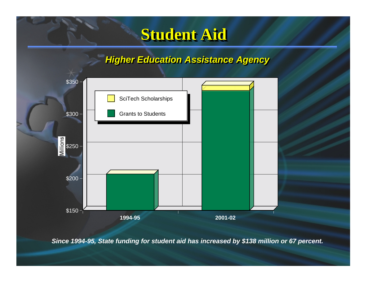### **Student Aid Student Aid Student Aid**

#### *Higher Education Assistance Agency Higher Education Assistance Agency Higher Education Assistance Agency*



*Since 1994-95, State funding for student aid has increased by \$138 million or 67 percent.*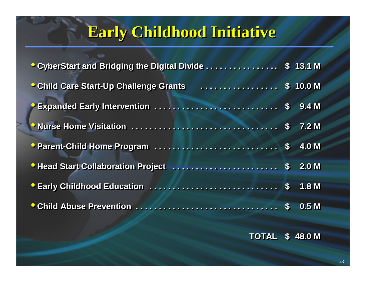## **Early Childhood Initiative**

| O CyberStart and Bridging the Digital Divide                            | $\sqrt{3}$ 13.1 M |
|-------------------------------------------------------------------------|-------------------|
| <b>Child Care Start-Up Challenge Grants</b><br>$\overline{1}$ \$ 10.0 M |                   |
|                                                                         |                   |
|                                                                         |                   |
|                                                                         | $-4.0 M$          |
|                                                                         |                   |
|                                                                         |                   |
|                                                                         | 0.5 <sub>M</sub>  |

**TOTAL \$ 48.0 M TOTAL \$ 48.0 M**

**\_\_\_\_\_\_\_\_**

**\_\_\_\_\_\_\_\_ \_\_\_\_\_\_\_\_**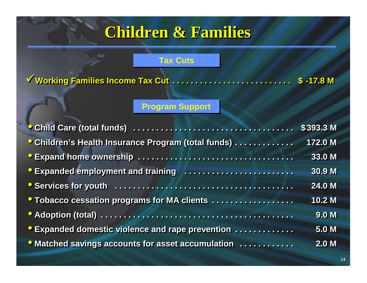## **Children & Families Children & Families Children & Families**

#### **Tax Cuts Tax Cuts**

**Working Families Income Tax Cut . . . . . . . . . . . . . . . . . . . . . . . . . . \$ -17.8 M Working Families Income Tax Cut . . . . . . . . . . . . . . . . . . . . . . . . . . \$ -17.8 M**

#### **Program Support Program Support**

|                                                                                                                                                                                                                                      | \$393.3 M        |
|--------------------------------------------------------------------------------------------------------------------------------------------------------------------------------------------------------------------------------------|------------------|
| <b>Children's Health Insurance Program (total funds) </b>                                                                                                                                                                            | 172.0 M          |
| <b>Expand home ownership </b>                                                                                                                                                                                                        | 33.0 M           |
| <b>Expanded employment and training construction of the set of the set of the set of the set of the set of the set of the set of the set of the set of the set of the set of the set of the set of the set of the set of the set</b> | 30.9 M           |
|                                                                                                                                                                                                                                      | 24.0 M           |
| <b>O Tobacco cessation programs for MA clients </b>                                                                                                                                                                                  | 10.2 M           |
|                                                                                                                                                                                                                                      | 9.0 <sub>M</sub> |
| <b>Expanded domestic violence and rape prevention </b>                                                                                                                                                                               | <b>5.0 M</b>     |
| <b>O</b> Matched savings accounts for asset accumulation                                                                                                                                                                             | 2.0 <sub>M</sub> |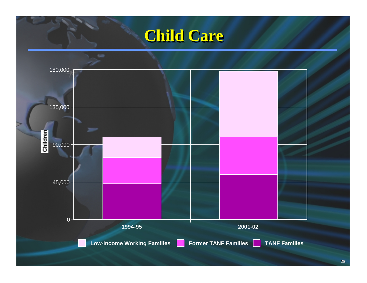### **Child Care Child Care**

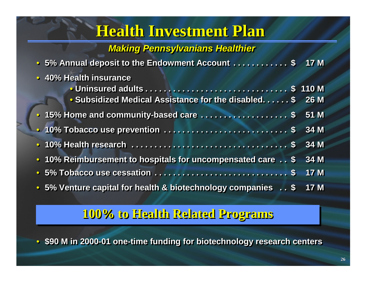### **Health Investment Plan Health Investment Plan Plan**

#### *Making Pennsylvanians Healthier Making Pennsylvanians Healthier Making Pennsylvanians Healthier*

| • 5% Annual deposit to the Endowment Account \$                                                                       | 17M         |
|-----------------------------------------------------------------------------------------------------------------------|-------------|
| • 40% Health insurance                                                                                                |             |
| <b>Julian Street and Section Address of Section Address Contracts Controller Street Street Street Street Street S</b> | 110 M       |
| • Subsidized Medical Assistance for the disabled. \$                                                                  | <b>26 M</b> |
|                                                                                                                       | 51 M        |
|                                                                                                                       | 34 M        |
|                                                                                                                       | 34M         |
| • 10% Reimbursement to hospitals for uncompensated care \$                                                            | 34 M        |
|                                                                                                                       | <b>17 M</b> |
| • 5% Venture capital for health & biotechnology companies . \$                                                        | <b>17 M</b> |

#### **100% to Health Related Programs 100% to Health Related Programs 100% to Health Related Programs**

• \$90 M in 2000-01 one-time funding for biotechnology research centers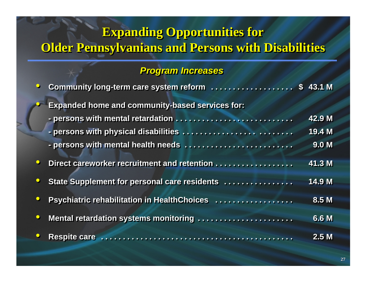### **Expanding Opportunities for Expanding Opportunities for Expanding Opportunities for Older Pennsylvanians and Persons with Disabilities Older Pennsylvanians and Persons with Disabilities Older Pennsylvanians and Persons with Disabilities**

#### *Program Increases Program Increases Program Increases*

|           | Community long-term care system reform  \$ 43.1 M      |                  |
|-----------|--------------------------------------------------------|------------------|
|           | <b>Expanded home and community-based services for:</b> |                  |
|           |                                                        | 42.9 M           |
|           |                                                        | 19.4 M           |
|           | - persons with mental health needs                     | 9.0 <sub>M</sub> |
| $\bullet$ | Direct careworker recruitment and retention            | 41.3 M           |
|           | State Supplement for personal care residents           | 14.9 M           |
|           | Psychiatric rehabilitation in HealthChoices            | 8.5 M            |
| $\bullet$ | Mental retardation systems monitoring                  | 6.6 M            |
|           |                                                        | 2.5M             |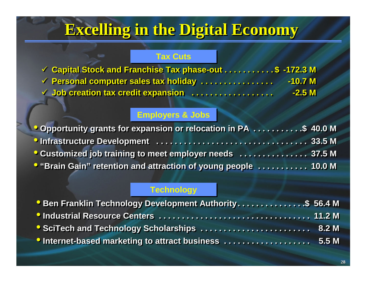## **Excelling in the Digital Economy Excelling in the Digital Economy Excelling in the Digital Economy**

#### **Tax Cuts Tax Cuts**

| <b>V</b> Capital Stock and Franchise Tax phase-out \$ -172.3 M |           |
|----------------------------------------------------------------|-----------|
| <b>√ Personal computer sales tax holiday</b>                   | $-10.7 M$ |
| V Job creation tax credit expansion                            | $-2.5M$   |

#### **Employers & Jobs Employers & Jobs**

| Opportunity grants for expansion or relocation in PA \$ 40.0 M         |  |
|------------------------------------------------------------------------|--|
|                                                                        |  |
| <b>Customized job training to meet employer needs  37.5 M</b>          |  |
| <b>O</b> "Brain Gain" retention and attraction of young people  10.0 M |  |

#### **Technology Technology**

| <b>Ben Franklin Technology Development Authority\$ 56.4 M</b> |  |
|---------------------------------------------------------------|--|
|                                                               |  |
| <b>SciTech and Technology Scholarships  8.2 M</b>             |  |
| <b>Outernet-based marketing to attract business  5.5 M</b>    |  |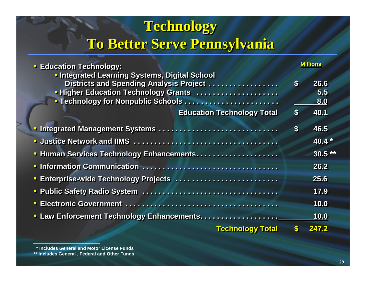### **Technology Technology Technology To Better Serve Pennsylvania To Better Serve Pennsylvania To Better Serve Pennsylvania**

| <b>Education Technology:</b>                                                                                                                                                                  |                           | Villions           |
|-----------------------------------------------------------------------------------------------------------------------------------------------------------------------------------------------|---------------------------|--------------------|
| <b>• Integrated Learning Systems, Digital School</b><br>Districts and Spending Analysis Project<br><b>• Higher Education Technology Grants </b><br><b>• Technology for Nonpublic Schools </b> | $\boldsymbol{\mathsf{s}}$ | 26.6<br>5.5<br>8.0 |
| <b>Education Technology Total</b>                                                                                                                                                             | $\boldsymbol{\$}$         | 40.1               |
|                                                                                                                                                                                               | $\boldsymbol{\$}$         | 46.5               |
|                                                                                                                                                                                               |                           | 40.4 $*$           |
| <b>• Human Services Technology Enhancements</b>                                                                                                                                               |                           | $30.5***$          |
|                                                                                                                                                                                               |                           | 26.2               |
| <b>• Enterprise-wide Technology Projects </b>                                                                                                                                                 |                           | 25.6               |
|                                                                                                                                                                                               |                           | 17.9               |
|                                                                                                                                                                                               |                           | 10.0               |
|                                                                                                                                                                                               |                           | <b>10.0</b>        |
| <b>Technology Total</b>                                                                                                                                                                       |                           | 247.2              |

**<sup>\*</sup> Includes General and Motor License Funds**

**<sup>\*\*</sup> Includes General , Federal and Other Funds**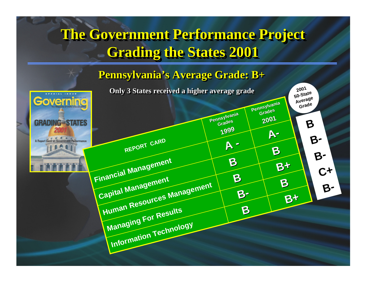### **The Government Performance Project The Government Performance Project The Government Performance Project Grading the States 2001 Grading the States 2001 Grading the States 2001**

#### **Pennsylvania's Average Grade: B+ Pennsylvania's Average Grade: B+ Pennsylvania's Average Grade: B+**

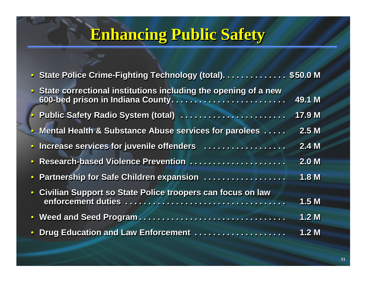## **Enhancing Public Safety**

| State Police Crime-Fighting Technology (total). \$50.0 M       |                  |
|----------------------------------------------------------------|------------------|
| State correctional institutions including the opening of a new | 49.1 M           |
| <b>Public Safety Radio System (total) </b>                     | 17.9 M           |
| · Mental Health & Substance Abuse services for parolees        | 2.5M             |
| · Increase services for juvenile offenders                     | 2.4M             |
| · Research-based Violence Prevention                           | 2.0 <sub>M</sub> |
| · Partnership for Safe Children expansion                      | 1.8 M            |
| · Civilian Support so State Police troopers can focus on law   |                  |
|                                                                | 1.5 M            |
|                                                                | 1.2 <sub>M</sub> |
| • Drug Education and Law Enforcement                           | 1.2 <sub>M</sub> |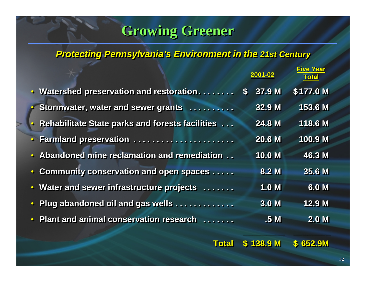### **Growing Greener Growing Greener Growing Greener**

#### *Protecting Pennsylvania's Environment in the Protecting Pennsylvania's Environment in the Protecting Pennsylvania's Environment in the 21st Century 21st Century 21st Century*

|                                                   | 2001-02                | <b>Five Year</b><br><b>Total</b> |
|---------------------------------------------------|------------------------|----------------------------------|
| Watershed preservation and restoration            | 37.9 M<br>$\mathbf{s}$ | \$177.0 M                        |
| Stormwater, water and sewer grants                | 32.9 M                 | 153.6 M                          |
| • Rehabilitate State parks and forests facilities | 24.8 M                 | 118.6 M                          |
| Farmland preservation                             | <b>20.6 M</b>          | 100.9 M                          |
| Abandoned mine reclamation and remediation        | 10.0 M                 | 46.3 M                           |
| <b>Community conservation and open spaces </b>    | 8.2 M                  | 35.6 M                           |
| Water and sewer infrastructure projects           | 1.0 <sub>M</sub>       | 6.0 M                            |
| Plug abandoned oil and gas wells                  | 3.0 <sub>M</sub>       | 12.9 M                           |
| Plant and animal conservation research            | .5 <sub>M</sub>        | 2.0 <sub>M</sub>                 |
|                                                   |                        |                                  |
| <b>Total</b>                                      | <b>138.9 M</b>         | \$652.9M                         |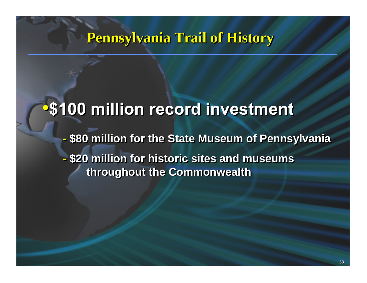### **Pennsylvania Trail of History Pennsylvania Trail of History Pennsylvania Trail of History**

### **S100 million record investment**

**- \$80 million for the State Museum of Pennsylvania - \$20 million for historic sites and museums throughout the Commonwealth throughout the Commonwealth throughout the Commonwealth - \$80 million for the State Museum of Pennsylvania 80 million for the State Museum of Pennsylvania - \$20 million for historic sites and museums 20 million for historic sites and museums**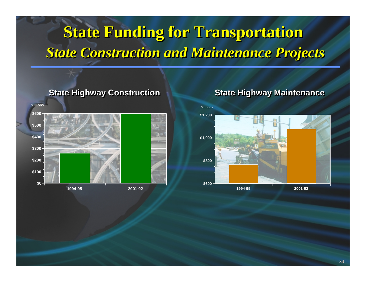## **State Funding for Transportation State Funding for Transportation State Funding for Transportation** *State Construction and Maintenance Projects State Construction and Maintenance Projects State Construction and Maintenance Projects*

#### **State Highway Construction State Highway Construction State Highway Construction State Highway Maintenance State Highway Maintenance State Highway Maintenance**



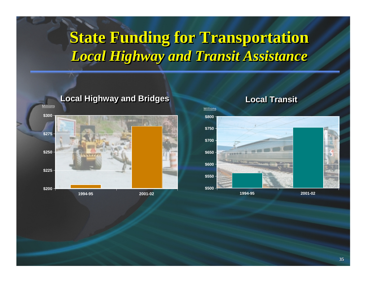### **State Funding for Transportation State Funding for Transportation State Funding for Transportation** *Local Highway and Transit Assistance Local Highway and Transit Assistance Local and Transit Assistance*



#### **Local Highway and Bridges Local Highway and Bridges Local Highway and Bridges Local Transit Local Transit Local Transit**

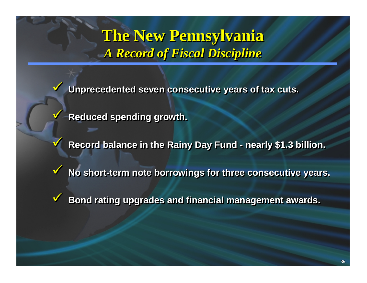**The New Pennsylvania The New Pennsylvania The New Pennsylvania** *A Record of Fiscal Discipline A Record of Fiscal Discipline A Record of Fiscal Discipline*

 $\blacktriangledown$  **Unprecedented seven consecutive years of tax cuts. Unprecedented seven consecutive years of tax cuts. Unprecedented seven consecutive years of cuts.**  $\checkmark$ 

 $**V**$  **Reduced spending growth.** 

 $\checkmark$ 

 $\checkmark$ 

 $\blacktriangledown$ 

 $\checkmark$ 

**8** Record balance in the Rainy Day Fund - nearly \$1.3 billion. **nearly \$1.3 billion. nearly \$1.3 billion.**

 $\checkmark$ **Y** No short-term note borrowings for three consecutive years.  $\checkmark$ 

 $\checkmark$  **Bond rating upgrades and financial management awards. Bond rating upgrades and financial management awards. Bond rating upgrades and financial management awards.**  $\checkmark$